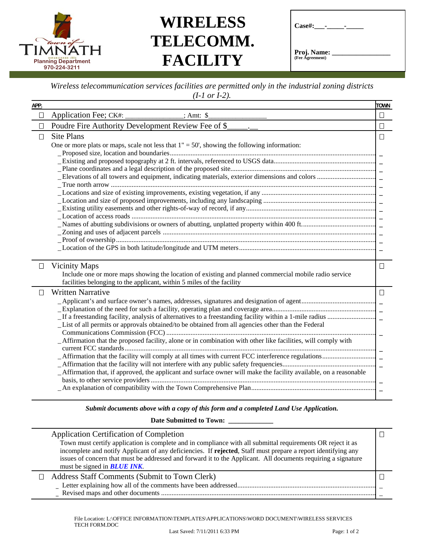

## **WIRELESS TELECOMM. FACILITY**

| $\text{Case}\#:$ -             |  |
|--------------------------------|--|
| Proj. Name:<br>(Fee Agreement) |  |

## *Wireless telecommunication services facilities are permitted only in the industrial zoning districts (I-1 or I-2).*

| APP.   |                                                                                                                                                                                                                                                                                                                                                                    | <b>TOWN</b>      |
|--------|--------------------------------------------------------------------------------------------------------------------------------------------------------------------------------------------------------------------------------------------------------------------------------------------------------------------------------------------------------------------|------------------|
| $\Box$ | Application Fee; CK#:<br>$\overline{\phantom{a}}$ ; Amt: \$                                                                                                                                                                                                                                                                                                        | $\Box$           |
| $\Box$ | Poudre Fire Authority Development Review Fee of \$                                                                                                                                                                                                                                                                                                                 | $\Box$           |
| □      | <b>Site Plans</b><br>One or more plats or maps, scale not less that $1" = 50'$ , showing the following information:                                                                                                                                                                                                                                                | $\Box$           |
| $\Box$ | <b>Vicinity Maps</b><br>Include one or more maps showing the location of existing and planned commercial mobile radio service<br>facilities belonging to the applicant, within 5 miles of the facility                                                                                                                                                             | $\Box$           |
| Ш      | <b>Written Narrative</b><br>List of all permits or approvals obtained/to be obtained from all agencies other than the Federal<br>Affirmation that the proposed facility, alone or in combination with other like facilities, will comply with<br>_Affirmation that, if approved, the applicant and surface owner will make the facility available, on a reasonable | $\Box$<br>$\sim$ |
|        | $\mathbf{r} \cdot \mathbf{r}$                                                                                                                                                                                                                                                                                                                                      |                  |

*Submit documents above with a copy of this form and a completed Land Use Application.* 

**Date Submitted to Town: \_\_\_\_\_\_\_\_\_\_\_\_\_** 

|   | <b>Application Certification of Completion</b><br>Town must certify application is complete and in compliance with all submittal requirements OR reject it as<br>incomplete and notify Applicant of any deficiencies. If rejected, Staff must prepare a report identifying any<br>issues of concern that must be addressed and forward it to the Applicant. All documents requiring a signature<br>must be signed in <b>BLUE INK</b> . |  |
|---|----------------------------------------------------------------------------------------------------------------------------------------------------------------------------------------------------------------------------------------------------------------------------------------------------------------------------------------------------------------------------------------------------------------------------------------|--|
| П | Address Staff Comments (Submit to Town Clerk)                                                                                                                                                                                                                                                                                                                                                                                          |  |
|   |                                                                                                                                                                                                                                                                                                                                                                                                                                        |  |